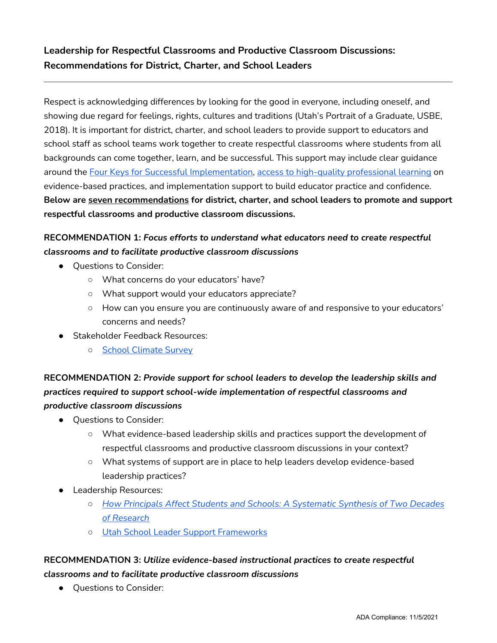# **Leadership for Respectful Classrooms and Productive Classroom Discussions: Recommendations for District, Charter, and School Leaders**

Respect is acknowledging differences by looking for the good in everyone, including oneself, and showing due regard for feelings, rights, cultures and traditions (Utah's Portrait of a Graduate, USBE, 2018). It is important for district, charter, and school leaders to provide support to educators and school staff as school teams work together to create respectful classrooms where students from all backgrounds can come together, learn, and be successful. This support may include clear guidance around the [Four Keys for Successful Implementation,](https://www.schools.utah.gov/file/609cf4a6-f46d-4f5a-8089-d50b375289c2) [access to high-quality professional learning](https://www.schools.utah.gov/curr/educatordevelopment/professionallearning?mid=5126&tid=0) on evidence-based practices, and implementation support to build educator practice and confidence. **Below are seven recommendations for district, charter, and school leaders to promote and support respectful classrooms and productive classroom discussions.**

## **RECOMMENDATION 1:** *Focus efforts to understand what educators need to create respectful classrooms and to facilitate productive classroom discussions*

- Questions to Consider:
	- What concerns do your educators' have?
	- What support would your educators appreciate?
	- How can you ensure you are continuously aware of and responsive to your educators' concerns and needs?
- **Stakeholder Feedback Resources:** 
	- [School Climate Survey](https://www.schools.utah.gov/file/d2ef1b42-b70c-4d0e-b50b-bbeed29f8b8b)

## **RECOMMENDATION 2:** *Provide support for school leaders to develop the leadership skills and practices required to support school-wide implementation of respectful classrooms and productive classroom discussions*

- Questions to Consider:
	- What evidence-based leadership skills and practices support the development of respectful classrooms and productive classroom discussions in your context?
	- What systems of support are in place to help leaders develop evidence-based leadership practices?
- Leadership Resources:
	- *[How Principals Affect Students and Schools: A Systematic Synthesis of Two Decades](https://www.wallacefoundation.org/knowledge-center/Documents/How-Principals-Affect-Students-and-Schools.pdf) [of Research](https://www.wallacefoundation.org/knowledge-center/Documents/How-Principals-Affect-Students-and-Schools.pdf)*
	- [Utah School Leader Support Frameworks](https://drive.google.com/drive/folders/18zY6Zg8PQ0rWNio9QwHfUAo-mT99iSys?usp=sharing)

### **RECOMMENDATION 3:** *Utilize evidence-based instructional practices to create respectful classrooms and to facilitate productive classroom discussions*

● Questions to Consider: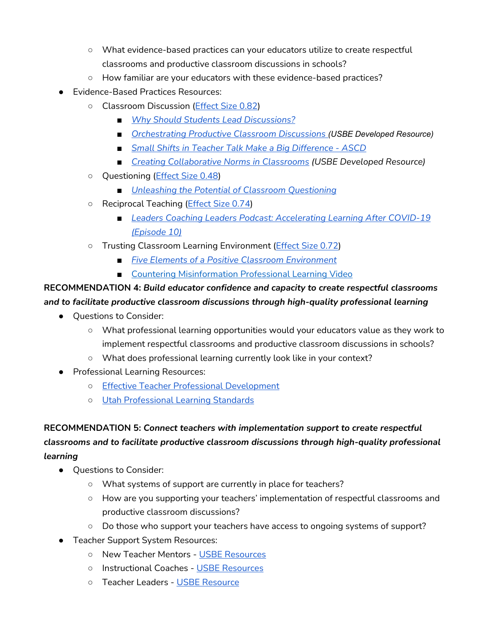- What evidence-based practices can your educators utilize to create respectful classrooms and productive classroom discussions in schools?
- How familiar are your educators with these evidence-based practices?
- **Evidence-Based Practices Resources:** 
	- Classroom Discussion [\(Effect Size 0.82\)](https://visible-learning.org/wp-content/uploads/2018/03/VLPLUS-252-Influences-Hattie-ranking-DEC-2017.pdf)
		- *[Why Should Students Lead Discussions?](https://corwin-connect.com/2019/07/why-should-students-lead-discussions/)*
		- *[Orchestrating Productive Classroom Discussions](https://www.schools.utah.gov/file/f4aaab20-94c2-4688-8a76-9774fb340268) (USBE Developed Resource)*
		- *[Small Shifts in Teacher Talk Make a Big Difference ASCD](https://www.ascd.org/blogs/small-shifts-in-teacher-talk-make-a-big-difference)*
		- *[Creating Collaborative Norms in Classrooms](https://www.schools.utah.gov/file/1e671ab2-9575-4c81-ba5d-4d6caed38c69) (USBE Developed Resource)*
	- Questioning [\(Effect Size 0.48\)](https://visible-learning.org/wp-content/uploads/2018/03/VLPLUS-252-Influences-Hattie-ranking-DEC-2017.pdf)
		- *[Unleashing the Potential of Classroom Questioning](https://corwin-connect.com/2016/07/unleashing-potential-classroom-questioning/)*
	- Reciprocal Teaching [\(Effect Size 0.74\)](https://visible-learning.org/wp-content/uploads/2018/03/VLPLUS-252-Influences-Hattie-ranking-DEC-2017.pdf)
		- *[Leaders Coaching Leaders Podcast: Accelerating Learning After COVID-19](https://us.corwin.com/en-us/nam/podcastepisode10) [\(Episode 10\)](https://us.corwin.com/en-us/nam/podcastepisode10)*
	- Trusting Classroom Learning Environment [\(Effect Size 0.72\)](https://us.corwin.com/sites/default/files/vln21296_vl_accelerating_learning_white_paper_final_rev3.pdf)
		- *[Five Elements of a Positive Classroom Environment](https://www.ascd.org/blogs/five-elements-of-a-positive-classroom-environment-for-students-living-with-adversity)*
		- [Countering Misinformation Professional Learning Video](https://youtu.be/A2mlQWc6H8s)

## **RECOMMENDATION 4:** *Build educator confidence and capacity to create respectful classrooms and to facilitate productive classroom discussions through high-quality professional learning*

- Questions to Consider:
	- What professional learning opportunities would your educators value as they work to implement respectful classrooms and productive classroom discussions in schools?
	- What does professional learning currently look like in your context?
- Professional Learning Resources:
	- [Effective Teacher Professional Development](https://learningpolicyinstitute.org/sites/default/files/product-files/Effective_Teacher_Professional_Development_REPORT.pdf)
	- [Utah Professional Learning Standards](https://www.schools.utah.gov/curr/educatordevelopment/professionallearning?mid=5126&tid=0)

**RECOMMENDATION 5:** *Connect teachers with implementation support to create respectful classrooms and to facilitate productive classroom discussions through high-quality professional learning*

- Questions to Consider:
	- What systems of support are currently in place for teachers?
	- How are you supporting your teachers' implementation of respectful classrooms and productive classroom discussions?
	- Do those who support your teachers have access to ongoing systems of support?
- Teacher Support System Resources:
	- New Teacher Mentors - [USBE Resources](https://www.schools.utah.gov/curr/educatordevelopment/classroomteachers?mid=5104&tid=2)
	- Instructional Coaches - [USBE Resources](https://www.schools.utah.gov/curr/educatordevelopment/instructionalcoaches)
	- Teacher Leaders - [USBE Resource](https://schools.utah.gov/file/57efffbd-a07d-4d84-85d4-e5fe37a4ade6)